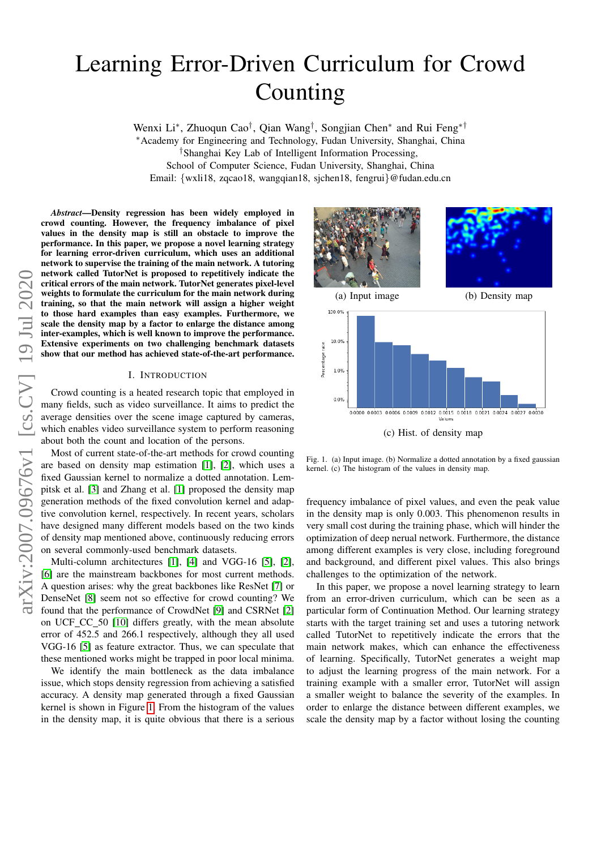# Learning Error-Driven Curriculum for Crowd Counting

Wenxi Li<sup>∗</sup>, Zhuoqun Cao<sup>†</sup>, Qian Wang<sup>†</sup>, Songjian Chen<sup>∗</sup> and Rui Feng<sup>∗†</sup> <sup>∗</sup>Academy for Engineering and Technology, Fudan University, Shanghai, China †Shanghai Key Lab of Intelligent Information Processing, School of Computer Science, Fudan University, Shanghai, China Email: {wxli18, zqcao18, wangqian18, sjchen18, fengrui}@fudan.edu.cn

*Abstract*—Density regression has been widely employed in crowd counting. However, the frequency imbalance of pixel values in the density map is still an obstacle to improve the performance. In this paper, we propose a novel learning strategy for learning error-driven curriculum, which uses an additional network to supervise the training of the main network. A tutoring network called TutorNet is proposed to repetitively indicate the critical errors of the main network. TutorNet generates pixel-level weights to formulate the curriculum for the main network during training, so that the main network will assign a higher weight to those hard examples than easy examples. Furthermore, we scale the density map by a factor to enlarge the distance among inter-examples, which is well known to improve the performance. Extensive experiments on two challenging benchmark datasets show that our method has achieved state-of-the-art performance.

#### I. INTRODUCTION

<span id="page-0-1"></span>Crowd counting is a heated research topic that employed in many fields, such as video surveillance. It aims to predict the average densities over the scene image captured by cameras, which enables video surveillance system to perform reasoning about both the count and location of the persons.

Most of current state-of-the-art methods for crowd counting are based on density map estimation [\[1\]](#page-6-0), [\[2\]](#page-6-1), which uses a fixed Gaussian kernel to normalize a dotted annotation. Lempitsk et al. [\[3\]](#page-6-2) and Zhang et al. [\[1\]](#page-6-0) proposed the density map generation methods of the fixed convolution kernel and adaptive convolution kernel, respectively. In recent years, scholars have designed many different models based on the two kinds of density map mentioned above, continuously reducing errors on several commonly-used benchmark datasets.

Multi-column architectures [\[1\]](#page-6-0), [\[4\]](#page-6-3) and VGG-16 [\[5\]](#page-6-4), [\[2\]](#page-6-1), [\[6\]](#page-6-5) are the mainstream backbones for most current methods. A question arises: why the great backbones like ResNet [\[7\]](#page-6-6) or DenseNet [\[8\]](#page-6-7) seem not so effective for crowd counting? We found that the performance of CrowdNet [\[9\]](#page-6-8) and CSRNet [\[2\]](#page-6-1) on UCF\_CC\_50 [\[10\]](#page-6-9) differs greatly, with the mean absolute error of 452.5 and 266.1 respectively, although they all used VGG-16 [\[5\]](#page-6-4) as feature extractor. Thus, we can speculate that these mentioned works might be trapped in poor local minima.

We identify the main bottleneck as the data imbalance issue, which stops density regression from achieving a satisfied accuracy. A density map generated through a fixed Gaussian kernel is shown in Figure [1.](#page-0-0) From the histogram of the values in the density map, it is quite obvious that there is a serious



<span id="page-0-0"></span>Fig. 1. (a) Input image. (b) Normalize a dotted annotation by a fixed gaussian kernel. (c) The histogram of the values in density map.

frequency imbalance of pixel values, and even the peak value in the density map is only 0.003. This phenomenon results in very small cost during the training phase, which will hinder the optimization of deep nerual network. Furthermore, the distance among different examples is very close, including foreground and background, and different pixel values. This also brings challenges to the optimization of the network.

In this paper, we propose a novel learning strategy to learn from an error-driven curriculum, which can be seen as a particular form of Continuation Method. Our learning strategy starts with the target training set and uses a tutoring network called TutorNet to repetitively indicate the errors that the main network makes, which can enhance the effectiveness of learning. Specifically, TutorNet generates a weight map to adjust the learning progress of the main network. For a training example with a smaller error, TutorNet will assign a smaller weight to balance the severity of the examples. In order to enlarge the distance between different examples, we scale the density map by a factor without losing the counting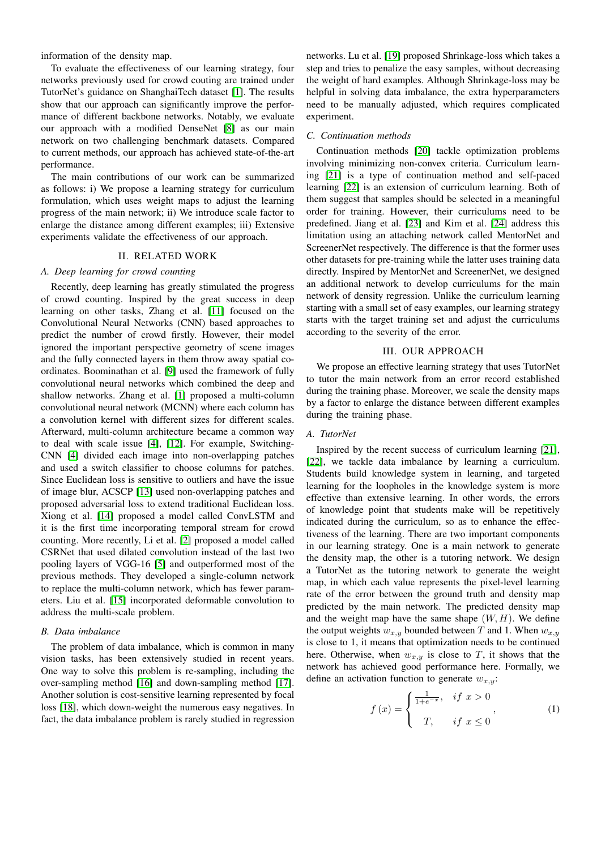information of the density map.

To evaluate the effectiveness of our learning strategy, four networks previously used for crowd couting are trained under TutorNet's guidance on ShanghaiTech dataset [\[1\]](#page-6-0). The results show that our approach can significantly improve the performance of different backbone networks. Notably, we evaluate our approach with a modified DenseNet [\[8\]](#page-6-7) as our main network on two challenging benchmark datasets. Compared to current methods, our approach has achieved state-of-the-art performance.

The main contributions of our work can be summarized as follows: i) We propose a learning strategy for curriculum formulation, which uses weight maps to adjust the learning progress of the main network; ii) We introduce scale factor to enlarge the distance among different examples; iii) Extensive experiments validate the effectiveness of our approach.

# II. RELATED WORK

# *A. Deep learning for crowd counting*

Recently, deep learning has greatly stimulated the progress of crowd counting. Inspired by the great success in deep learning on other tasks, Zhang et al. [\[11\]](#page-6-10) focused on the Convolutional Neural Networks (CNN) based approaches to predict the number of crowd firstly. However, their model ignored the important perspective geometry of scene images and the fully connected layers in them throw away spatial coordinates. Boominathan et al. [\[9\]](#page-6-8) used the framework of fully convolutional neural networks which combined the deep and shallow networks. Zhang et al. [\[1\]](#page-6-0) proposed a multi-column convolutional neural network (MCNN) where each column has a convolution kernel with different sizes for different scales. Afterward, multi-column architecture became a common way to deal with scale issue [\[4\]](#page-6-3), [\[12\]](#page-6-11). For example, Switching-CNN [\[4\]](#page-6-3) divided each image into non-overlapping patches and used a switch classifier to choose columns for patches. Since Euclidean loss is sensitive to outliers and have the issue of image blur, ACSCP [\[13\]](#page-6-12) used non-overlapping patches and proposed adversarial loss to extend traditional Euclidean loss. Xiong et al. [\[14\]](#page-6-13) proposed a model called ConvLSTM and it is the first time incorporating temporal stream for crowd counting. More recently, Li et al. [\[2\]](#page-6-1) proposed a model called CSRNet that used dilated convolution instead of the last two pooling layers of VGG-16 [\[5\]](#page-6-4) and outperformed most of the previous methods. They developed a single-column network to replace the multi-column network, which has fewer parameters. Liu et al. [\[15\]](#page-6-14) incorporated deformable convolution to address the multi-scale problem.

## *B. Data imbalance*

The problem of data imbalance, which is common in many vision tasks, has been extensively studied in recent years. One way to solve this problem is re-sampling, including the over-sampling method [\[16\]](#page-6-15) and down-sampling method [\[17\]](#page-6-16). Another solution is cost-sensitive learning represented by focal loss [\[18\]](#page-6-17), which down-weight the numerous easy negatives. In fact, the data imbalance problem is rarely studied in regression

networks. Lu et al. [\[19\]](#page-6-18) proposed Shrinkage-loss which takes a step and tries to penalize the easy samples, without decreasing the weight of hard examples. Although Shrinkage-loss may be helpful in solving data imbalance, the extra hyperparameters need to be manually adjusted, which requires complicated experiment.

#### *C. Continuation methods*

Continuation methods [\[20\]](#page-6-19) tackle optimization problems involving minimizing non-convex criteria. Curriculum learning [\[21\]](#page-6-20) is a type of continuation method and self-paced learning [\[22\]](#page-6-21) is an extension of curriculum learning. Both of them suggest that samples should be selected in a meaningful order for training. However, their curriculums need to be predefined. Jiang et al. [\[23\]](#page-6-22) and Kim et al. [\[24\]](#page-6-23) address this limitation using an attaching network called MentorNet and ScreenerNet respectively. The difference is that the former uses other datasets for pre-training while the latter uses training data directly. Inspired by MentorNet and ScreenerNet, we designed an additional network to develop curriculums for the main network of density regression. Unlike the curriculum learning starting with a small set of easy examples, our learning strategy starts with the target training set and adjust the curriculums according to the severity of the error.

## III. OUR APPROACH

We propose an effective learning strategy that uses TutorNet to tutor the main network from an error record established during the training phase. Moreover, we scale the density maps by a factor to enlarge the distance between different examples during the training phase.

## *A. TutorNet*

Inspired by the recent success of curriculum learning [\[21\]](#page-6-20), [\[22\]](#page-6-21), we tackle data imbalance by learning a curriculum. Students build knowledge system in learning, and targeted learning for the loopholes in the knowledge system is more effective than extensive learning. In other words, the errors of knowledge point that students make will be repetitively indicated during the curriculum, so as to enhance the effectiveness of the learning. There are two important components in our learning strategy. One is a main network to generate the density map, the other is a tutoring network. We design a TutorNet as the tutoring network to generate the weight map, in which each value represents the pixel-level learning rate of the error between the ground truth and density map predicted by the main network. The predicted density map and the weight map have the same shape  $(W, H)$ . We define the output weights  $w_{x,y}$  bounded between T and 1. When  $w_{x,y}$ is close to 1, it means that optimization needs to be continued here. Otherwise, when  $w_{x,y}$  is close to T, it shows that the network has achieved good performance here. Formally, we define an activation function to generate  $w_{x,y}$ :

$$
f(x) = \begin{cases} \frac{1}{1 + e^{-x}}, & if \ x > 0 \\ T, & if \ x \le 0 \end{cases}
$$
 (1)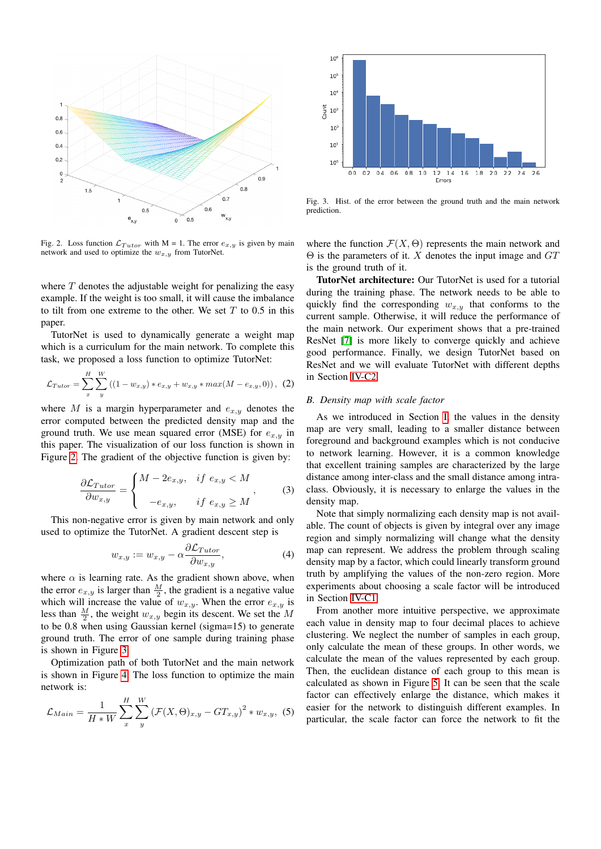

<span id="page-2-0"></span>Fig. 2. Loss function  $\mathcal{L}_{Tutor}$  with M = 1. The error  $e_{x,y}$  is given by main network and used to optimize the  $w_{x,y}$  from TutorNet.

where  $T$  denotes the adjustable weight for penalizing the easy example. If the weight is too small, it will cause the imbalance to tilt from one extreme to the other. We set  $T$  to 0.5 in this paper.

TutorNet is used to dynamically generate a weight map which is a curriculum for the main network. To complete this task, we proposed a loss function to optimize TutorNet:

$$
\mathcal{L}_{Tutor} = \sum_{x}^{H} \sum_{y}^{W} ((1 - w_{x,y}) * e_{x,y} + w_{x,y} * max(M - e_{x,y}, 0)), (2)
$$

where M is a margin hyperparameter and  $e_{x,y}$  denotes the error computed between the predicted density map and the ground truth. We use mean squared error (MSE) for  $e_{x,y}$  in this paper. The visualization of our loss function is shown in Figure [2.](#page-2-0) The gradient of the objective function is given by:

$$
\frac{\partial \mathcal{L}_{Tutor}}{\partial w_{x,y}} = \begin{cases} M - 2e_{x,y}, & \text{if } e_{x,y} < M \\ -e_{x,y}, & \text{if } e_{x,y} \ge M \end{cases}
$$
 (3)

This non-negative error is given by main network and only used to optimize the TutorNet. A gradient descent step is

$$
w_{x,y} := w_{x,y} - \alpha \frac{\partial \mathcal{L}_{Tutor}}{\partial w_{x,y}},\tag{4}
$$

where  $\alpha$  is learning rate. As the gradient shown above, when the error  $e_{x,y}$  is larger than  $\frac{M}{2}$ , the gradient is a negative value which will increase the value of  $w_{x,y}$ . When the error  $e_{x,y}$  is less than  $\frac{M}{2}$ , the weight  $w_{x,y}$  begin its descent. We set the M to be 0.8 when using Gaussian kernel (sigma=15) to generate ground truth. The error of one sample during training phase is shown in Figure [3.](#page-2-1)

Optimization path of both TutorNet and the main network is shown in Figure [4.](#page-3-0) The loss function to optimize the main network is:

$$
\mathcal{L}_{Main} = \frac{1}{H*W} \sum_{x}^{H} \sum_{y}^{W} \left( \mathcal{F}(X, \Theta)_{x,y} - GT_{x,y} \right)^2 * w_{x,y}, \tag{5}
$$



<span id="page-2-1"></span>Fig. 3. Hist. of the error between the ground truth and the main network prediction.

where the function  $\mathcal{F}(X, \Theta)$  represents the main network and  $\Theta$  is the parameters of it. X denotes the input image and  $GT$ is the ground truth of it.

TutorNet architecture: Our TutorNet is used for a tutorial during the training phase. The network needs to be able to quickly find the corresponding  $w_{x,y}$  that conforms to the current sample. Otherwise, it will reduce the performance of the main network. Our experiment shows that a pre-trained ResNet [\[7\]](#page-6-6) is more likely to converge quickly and achieve good performance. Finally, we design TutorNet based on ResNet and we will evaluate TutorNet with different depths in Section [IV-C2.](#page-3-1)

## <span id="page-2-2"></span>*B. Density map with scale factor*

As we introduced in Section [I,](#page-0-1) the values in the density map are very small, leading to a smaller distance between foreground and background examples which is not conducive to network learning. However, it is a common knowledge that excellent training samples are characterized by the large distance among inter-class and the small distance among intraclass. Obviously, it is necessary to enlarge the values in the density map.

Note that simply normalizing each density map is not available. The count of objects is given by integral over any image region and simply normalizing will change what the density map can represent. We address the problem through scaling density map by a factor, which could linearly transform ground truth by amplifying the values of the non-zero region. More experiments about choosing a scale factor will be introduced in Section [IV-C1.](#page-3-2)

From another more intuitive perspective, we approximate each value in density map to four decimal places to achieve clustering. We neglect the number of samples in each group, only calculate the mean of these groups. In other words, we calculate the mean of the values represented by each group. Then, the euclidean distance of each group to this mean is calculated as shown in Figure [5.](#page-3-3) It can be seen that the scale factor can effectively enlarge the distance, which makes it easier for the network to distinguish different examples. In particular, the scale factor can force the network to fit the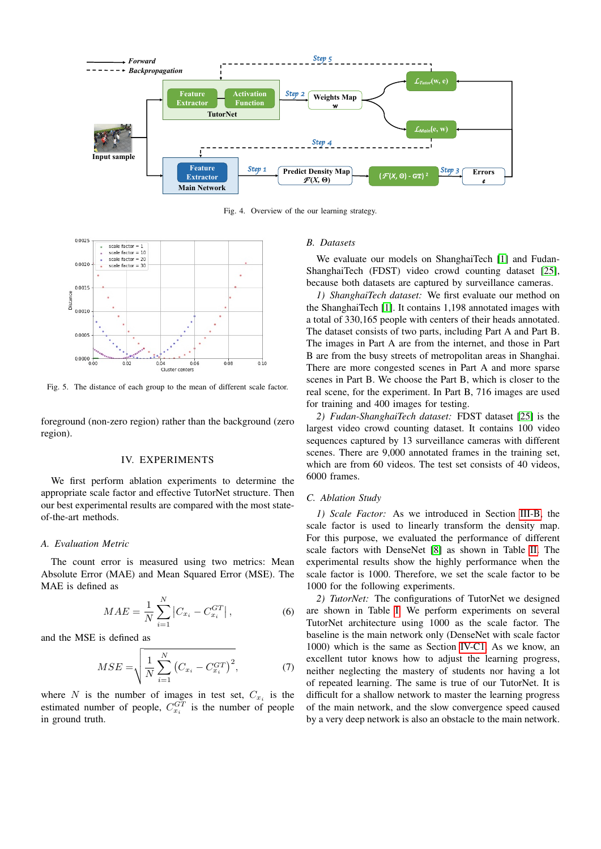

<span id="page-3-0"></span>Fig. 4. Overview of the our learning strategy.



<span id="page-3-3"></span>Fig. 5. The distance of each group to the mean of different scale factor.

foreground (non-zero region) rather than the background (zero region).

# IV. EXPERIMENTS

We first perform ablation experiments to determine the appropriate scale factor and effective TutorNet structure. Then our best experimental results are compared with the most stateof-the-art methods.

## *A. Evaluation Metric*

The count error is measured using two metrics: Mean Absolute Error (MAE) and Mean Squared Error (MSE). The MAE is defined as

$$
MAE = \frac{1}{N} \sum_{i=1}^{N} \left| C_{x_i} - C_{x_i}^{GT} \right|,
$$
\n(6)

and the MSE is defined as

$$
MSE = \sqrt{\frac{1}{N} \sum_{i=1}^{N} (C_{x_i} - C_{x_i}^{GT})^2},
$$
 (7)

where N is the number of images in test set,  $C_{x_i}$  is the estimated number of people,  $C_{x_i}^{GT}$  is the number of people in ground truth.

## *B. Datasets*

We evaluate our models on ShanghaiTech [\[1\]](#page-6-0) and Fudan-ShanghaiTech (FDST) video crowd counting dataset [\[25\]](#page-6-24), because both datasets are captured by surveillance cameras.

*1) ShanghaiTech dataset:* We first evaluate our method on the ShanghaiTech [\[1\]](#page-6-0). It contains 1,198 annotated images with a total of 330,165 people with centers of their heads annotated. The dataset consists of two parts, including Part A and Part B. The images in Part A are from the internet, and those in Part B are from the busy streets of metropolitan areas in Shanghai. There are more congested scenes in Part A and more sparse scenes in Part B. We choose the Part B, which is closer to the real scene, for the experiment. In Part B, 716 images are used for training and 400 images for testing.

*2) Fudan-ShanghaiTech dataset:* FDST dataset [\[25\]](#page-6-24) is the largest video crowd counting dataset. It contains 100 video sequences captured by 13 surveillance cameras with different scenes. There are 9,000 annotated frames in the training set, which are from 60 videos. The test set consists of 40 videos, 6000 frames.

## *C. Ablation Study*

<span id="page-3-2"></span>*1) Scale Factor:* As we introduced in Section [III-B,](#page-2-2) the scale factor is used to linearly transform the density map. For this purpose, we evaluated the performance of different scale factors with DenseNet [\[8\]](#page-6-7) as shown in Table [II.](#page-4-0) The experimental results show the highly performance when the scale factor is 1000. Therefore, we set the scale factor to be 1000 for the following experiments.

<span id="page-3-1"></span>*2) TutorNet:* The configurations of TutorNet we designed are shown in Table [I.](#page-4-1) We perform experiments on several TutorNet architecture using 1000 as the scale factor. The baseline is the main network only (DenseNet with scale factor 1000) which is the same as Section [IV-C1.](#page-3-2) As we know, an excellent tutor knows how to adjust the learning progress, neither neglecting the mastery of students nor having a lot of repeated learning. The same is true of our TutorNet. It is difficult for a shallow network to master the learning progress of the main network, and the slow convergence speed caused by a very deep network is also an obstacle to the main network.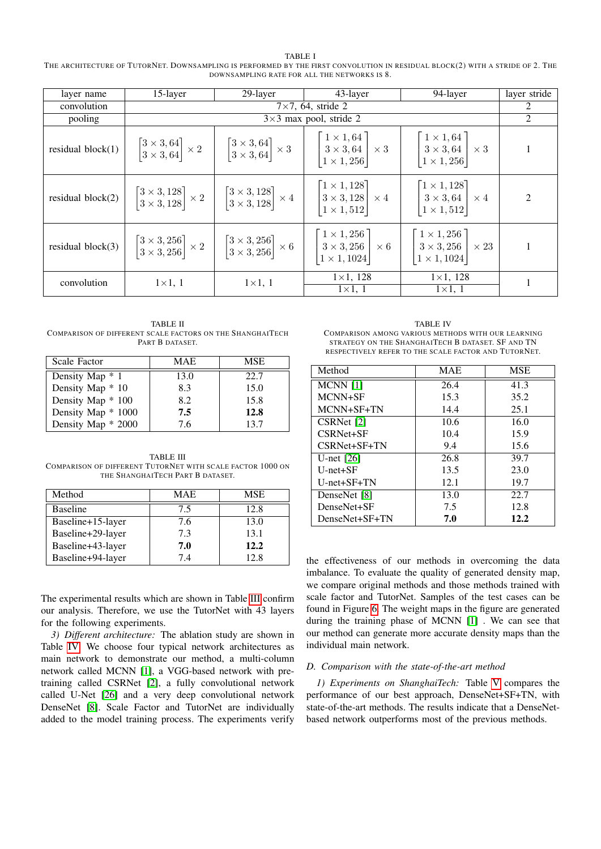<span id="page-4-1"></span>TABLE I THE ARCHITECTURE OF TUTORNET. DOWNSAMPLING IS PERFORMED BY THE FIRST CONVOLUTION IN RESIDUAL BLOCK(2) WITH A STRIDE OF 2. THE DOWNSAMPLING RATE FOR ALL THE NETWORKS IS 8.

| layer name           | 15-layer                                                                  | 29-layer                                                                                                                                              | 43-layer                                                                                                                                                                                                                                                                                                                                       | 94-layer                                                                                                                                                                                         | layer stride   |
|----------------------|---------------------------------------------------------------------------|-------------------------------------------------------------------------------------------------------------------------------------------------------|------------------------------------------------------------------------------------------------------------------------------------------------------------------------------------------------------------------------------------------------------------------------------------------------------------------------------------------------|--------------------------------------------------------------------------------------------------------------------------------------------------------------------------------------------------|----------------|
| convolution          | $7\times7$ , 64, stride 2                                                 |                                                                                                                                                       |                                                                                                                                                                                                                                                                                                                                                | 2                                                                                                                                                                                                |                |
| pooling              |                                                                           | $3\times3$ max pool, stride 2                                                                                                                         |                                                                                                                                                                                                                                                                                                                                                |                                                                                                                                                                                                  | 2              |
| residual $block(1)$  | $\begin{bmatrix} 3 \times 3, 64 \\ 3 \times 3, 64 \end{bmatrix} \times 2$ |                                                                                                                                                       | $\begin{bmatrix} 3 \times 3, 64 \\ 3 \times 3, 64 \end{bmatrix} \times 3 \begin{bmatrix} 1 \times 1, 64 \\ 3 \times 3, 64 \\ 1 \times 1, 256 \end{bmatrix} \times 3 \begin{bmatrix} 1 \times 1, 64 \\ 3 \times 3, 64 \\ 1 \times 1, 256 \end{bmatrix} \times 3$                                                                                |                                                                                                                                                                                                  | $\mathbf{1}$   |
| residual block $(2)$ |                                                                           |                                                                                                                                                       | $\begin{bmatrix} 3 \times 3, 128 \\ 3 \times 3, 128 \end{bmatrix} \times 2 \begin{bmatrix} 3 \times 3, 128 \\ 3 \times 3, 128 \end{bmatrix} \times 4 \begin{bmatrix} 1 \times 1, 128 \\ 3 \times 3, 128 \\ 1 \times 1, 512 \end{bmatrix} \times 4 \begin{bmatrix} 1 \times 1, 128 \\ 3 \times 3, 64 \\ 1 \times 1, 512 \end{bmatrix} \times 4$ |                                                                                                                                                                                                  | $\overline{c}$ |
| residual block $(3)$ |                                                                           | $\begin{bmatrix} 3 \times 3, 256 \\ 3 \times 3, 256 \end{bmatrix} \times 2 \begin{bmatrix} 3 \times 3, 256 \\ 3 \times 3, 256 \end{bmatrix} \times 6$ |                                                                                                                                                                                                                                                                                                                                                | $\begin{bmatrix} 1 \times 1, 256 \\ 3 \times 3, 256 \\ 1 \times 1, 1024 \end{bmatrix} \times 6$ $\begin{bmatrix} 1 \times 1, 256 \\ 3 \times 3, 256 \\ 1 \times 1, 1024 \end{bmatrix} \times 23$ |                |
| convolution          | $1\times1, 1$                                                             | $1\times1, 1$                                                                                                                                         | $1 \times 1, 128$<br>$1\times1$ , 1                                                                                                                                                                                                                                                                                                            | $1 \times 1, 128$<br>$1\times1$ , 1                                                                                                                                                              | 1              |

<span id="page-4-0"></span>TABLE II COMPARISON OF DIFFERENT SCALE FACTORS ON THE SHANGHAITECH PART B DATASET.

| <b>Scale Factor</b> | MAE  | MSE  |
|---------------------|------|------|
| Density Map * 1     | 13.0 | 22.7 |
| Density Map * 10    | 8.3  | 15.0 |
| Density Map * 100   | 8.2  | 15.8 |
| Density Map * 1000  | 7.5  | 12.8 |
| Density Map * 2000  | 7.6  | 13.7 |

<span id="page-4-2"></span>TABLE III COMPARISON OF DIFFERENT TUTORNET WITH SCALE FACTOR 1000 ON THE SHANGHAITECH PART B DATASET.

| Method            | MAE | MSE  |
|-------------------|-----|------|
| <b>Baseline</b>   | 7.5 | 12.8 |
| Baseline+15-layer | 7.6 | 13.0 |
| Baseline+29-layer | 7.3 | 13.1 |
| Baseline+43-layer | 7.0 | 12.2 |
| Baseline+94-layer | 74  | 12.8 |

The experimental results which are shown in Table [III](#page-4-2) confirm our analysis. Therefore, we use the TutorNet with 43 layers for the following experiments.

*3) Different architecture:* The ablation study are shown in Table [IV.](#page-4-3) We choose four typical network architectures as main network to demonstrate our method, a multi-column network called MCNN [\[1\]](#page-6-0), a VGG-based network with pretraining called CSRNet [\[2\]](#page-6-1), a fully convolutional network called U-Net [\[26\]](#page-6-25) and a very deep convolutional network DenseNet [\[8\]](#page-6-7). Scale Factor and TutorNet are individually added to the model training process. The experiments verify

<span id="page-4-3"></span>TABLE IV COMPARISON AMONG VARIOUS METHODS WITH OUR LEARNING STRATEGY ON THE SHANGHAITECH B DATASET. SF AND TN RESPECTIVELY REFER TO THE SCALE FACTOR AND TUTORNET.

| Method         | MAE  | <b>MSE</b> |
|----------------|------|------------|
| $MCNN$ [1]     | 26.4 | 41.3       |
| MCNN+SF        | 15.3 | 35.2       |
| MCNN+SF+TN     | 14.4 | 25.1       |
| CSRNet [2]     | 10.6 | 16.0       |
| CSRNet+SF      | 10.4 | 15.9       |
| CSRNet+SF+TN   | 9.4  | 15.6       |
| U-net $[26]$   | 26.8 | 39.7       |
| $U$ -net $+SF$ | 13.5 | 23.0       |
| U-net+SF+TN    | 12.1 | 19.7       |
| DenseNet [8]   | 13.0 | 22.7       |
| DenseNet+SF    | 7.5  | 12.8       |
| DenseNet+SF+TN | 7.0  | 12.2       |

the effectiveness of our methods in overcoming the data imbalance. To evaluate the quality of generated density map, we compare original methods and those methods trained with scale factor and TutorNet. Samples of the test cases can be found in Figure [6.](#page-5-0) The weight maps in the figure are generated during the training phase of MCNN [\[1\]](#page-6-0) . We can see that our method can generate more accurate density maps than the individual main network.

# *D. Comparison with the state-of-the-art method*

*1) Experiments on ShanghaiTech:* Table [V](#page-5-1) compares the performance of our best approach, DenseNet+SF+TN, with state-of-the-art methods. The results indicate that a DenseNetbased network outperforms most of the previous methods.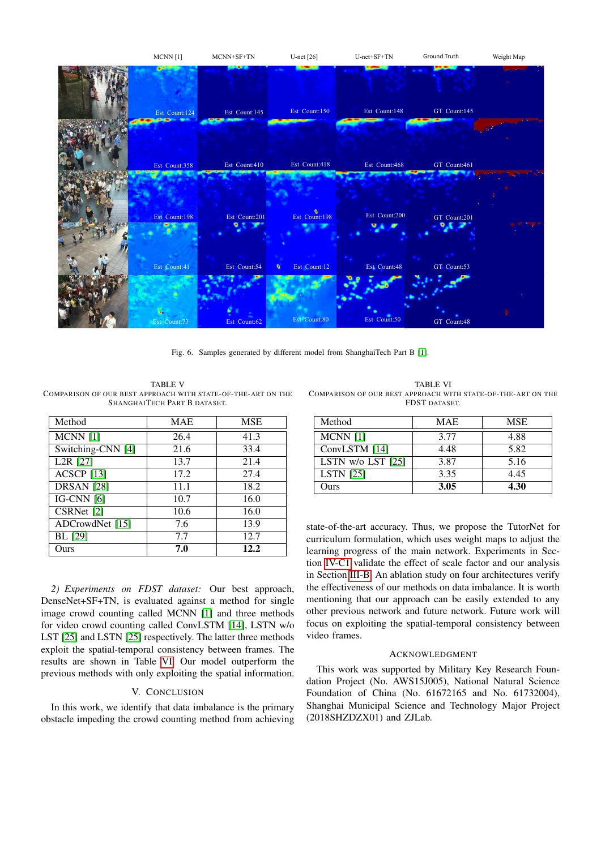

<span id="page-5-0"></span>Fig. 6. Samples generated by different model from ShanghaiTech Part B [\[1\]](#page-6-0).

<span id="page-5-1"></span>TABLE V COMPARISON OF OUR BEST APPROACH WITH STATE-OF-THE-ART ON THE SHANGHAITECH PART B DATASET.

| Method                         | <b>MAE</b> | MSE  |
|--------------------------------|------------|------|
| $MCNN$ [1]                     | 26.4       | 41.3 |
| Switching-CNN [4]              | 21.6       | 33.4 |
| L <sub>2</sub> R [27]          | 13.7       | 21.4 |
| $\overline{ACSCP}$ [13]        | 17.2       | 27.4 |
| $\overline{DRSAN}$ [28]        | 11.1       | 18.2 |
| $\overline{\text{IG-CNN}}$ [6] | 10.7       | 16.0 |
| CSRNet [2]                     | 10.6       | 16.0 |
| ADCrowdNet [15]                | 7.6        | 13.9 |
| BL [29]                        | 7.7        | 12.7 |
| Ours                           | 7.0        | 12.2 |

*2) Experiments on FDST dataset:* Our best approach, DenseNet+SF+TN, is evaluated against a method for single image crowd counting called MCNN [\[1\]](#page-6-0) and three methods for video crowd counting called ConvLSTM [\[14\]](#page-6-13), LSTN w/o LST [\[25\]](#page-6-24) and LSTN [\[25\]](#page-6-24) respectively. The latter three methods exploit the spatial-temporal consistency between frames. The results are shown in Table [VI.](#page-5-2) Our model outperform the previous methods with only exploiting the spatial information.

# V. CONCLUSION

In this work, we identify that data imbalance is the primary obstacle impeding the crowd counting method from achieving

<span id="page-5-2"></span>TABLE VI COMPARISON OF OUR BEST APPROACH WITH STATE-OF-THE-ART ON THE FDST DATASET.

| Method                | <b>MAE</b> | MSE  |
|-----------------------|------------|------|
| $MCNN$ [1]            | 3.77       | 4.88 |
| ConvLSTM [14]         | 4.48       | 5.82 |
| LSTN $w/o$ LST $[25]$ | 3.87       | 5.16 |
| <b>LSTN</b> [25]      | 3.35       | 4.45 |
| Ours                  | 3.05       | 4.30 |

state-of-the-art accuracy. Thus, we propose the TutorNet for curriculum formulation, which uses weight maps to adjust the learning progress of the main network. Experiments in Section [IV-C1](#page-3-2) validate the effect of scale factor and our analysis in Section [III-B.](#page-2-2) An ablation study on four architectures verify the effectiveness of our methods on data imbalance. It is worth mentioning that our approach can be easily extended to any other previous network and future network. Future work will focus on exploiting the spatial-temporal consistency between video frames.

# ACKNOWLEDGMENT

This work was supported by Military Key Research Foundation Project (No. AWS15J005), National Natural Science Foundation of China (No. 61672165 and No. 61732004), Shanghai Municipal Science and Technology Major Project (2018SHZDZX01) and ZJLab.